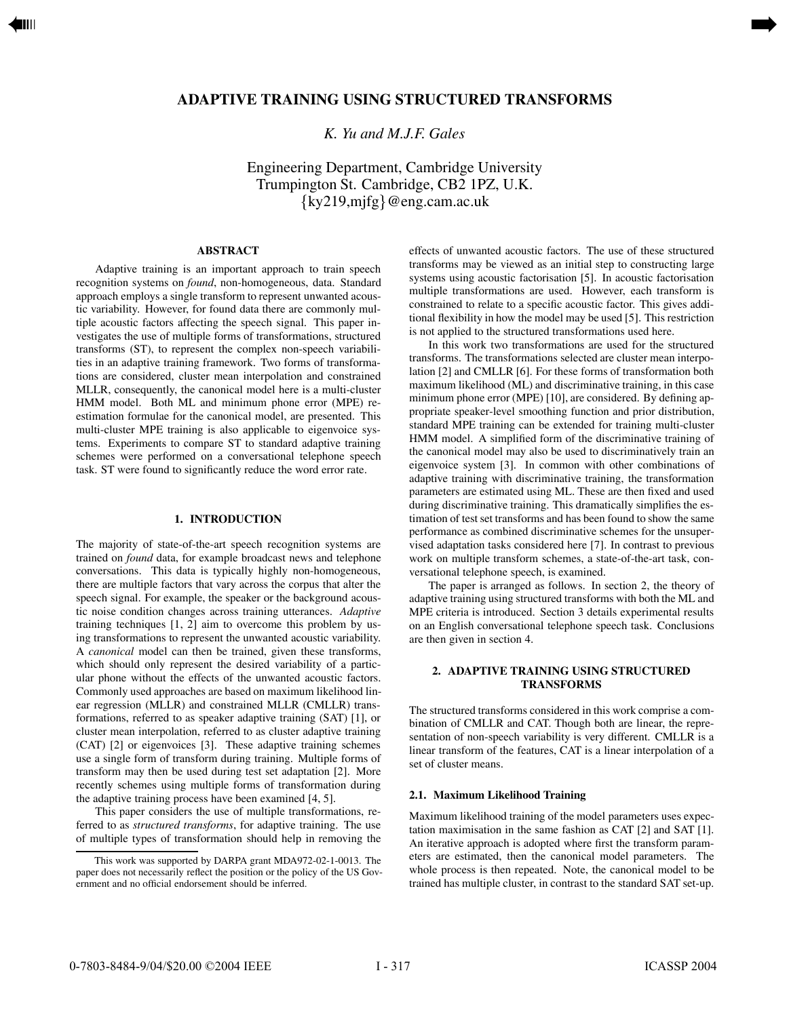# **ADAPTIVE TRAINING USING STRUCTURED TRANSFORMS**

<span id="page-0-0"></span>[➡](#page-1-0)

*K. Yu and M.J.F. Gales*

Engineering Department, Cambridge University Trumpington St. Cambridge, CB2 1PZ, U.K.  $\{ky219, m\}$ @eng.cam.ac.uk

### **ABSTRACT**

Adaptive training is an important approach to train speech recognition systems on *found*, non-homogeneous, data. Standard approach employs a single transform to represent unwanted acoustic variability. However, for found data there are commonly multiple acoustic factors affecting the speech signal. This paper investigates the use of multiple forms of transformations, structured transforms (ST), to represent the complex non-speech variabilities in an adaptive training framework. Two forms of transformations are considered, cluster mean interpolation and constrained MLLR, consequently, the canonical model here is a multi-cluster HMM model. Both ML and minimum phone error (MPE) reestimation formulae for the canonical model, are presented. This multi-cluster MPE training is also applicable to eigenvoice systems. Experiments to compare ST to standard adaptive training schemes were performed on a conversational telephone speech task. ST were found to significantly reduce the word error rate.

### **1. INTRODUCTION**

The majority of state-of-the-art speech recognition systems are trained on *found* data, for example broadcast news and telephone conversations. This data is typically highly non-homogeneous, there are multiple factors that vary across the corpus that alter the speech signal. For example, the speaker or the background acoustic noise condition changes across training utterances. *Adaptive* training techniques [1, 2] aim to overcome this problem by using transformations to represent the unwanted acoustic variability. A *canonical* model can then be trained, given these transforms, which should only represent the desired variability of a particular phone without the effects of the unwanted acoustic factors. Commonly used approaches are based on maximum likelihood linear regression (MLLR) and constrained MLLR (CMLLR) transformations, referred to as speaker adaptive training (SAT) [1], or cluster mean interpolation, referred to as cluster adaptive training (CAT) [2] or eigenvoices [3]. These adaptive training schemes use a single form of transform during training. Multiple forms of transform may then be used during test set adaptation [2]. More recently schemes using multiple forms of transformation during the adaptive training process have been examined [4, 5].

This paper considers the use of multiple transformations, referred to as *structured transforms*, for adaptive training. The use of multiple types of transformation should help in removing the effects of unwanted acoustic factors. The use of these structured transforms may be viewed as an initial step to constructing large systems using acoustic factorisation [5]. In acoustic factorisation multiple transformations are used. However, each transform is constrained to relate to a specific acoustic factor. This gives additional flexibility in how the model may be used [5]. This restriction is not applied to the structured transformations used here.

In this work two transformations are used for the structured transforms. The transformations selected are cluster mean interpolation [2] and CMLLR [6]. For these forms of transformation both maximum likelihood (ML) and discriminative training, in this case minimum phone error (MPE) [10], are considered. By defining appropriate speaker-level smoothing function and prior distribution, standard MPE training can be extended for training multi-cluster HMM model. A simplified form of the discriminative training of the canonical model may also be used to discriminatively train an eigenvoice system [3]. In common with other combinations of adaptive training with discriminative training, the transformation parameters are estimated using ML. These are then fixed and used during discriminative training. This dramatically simplifies the estimation of test set transforms and has been found to show the same performance as combined discriminative schemes for the unsupervised adaptation tasks considered here [7]. In contrast to previous work on multiple transform schemes, a state-of-the-art task, conversational telephone speech, is examined.

The paper is arranged as follows. In section 2, the theory of adaptive training using structured transforms with both the ML and MPE criteria is introduced. Section 3 details experimental results on an English conversational telephone speech task. Conclusions are then given in section 4.

## **2. ADAPTIVE TRAINING USING STRUCTURED TRANSFORMS**

The structured transforms considered in this work comprise a combination of CMLLR and CAT. Though both are linear, the representation of non-speech variability is very different. CMLLR is a linear transform of the features, CAT is a linear interpolation of a set of cluster means.

#### **2.1. Maximum Likelihood Training**

Maximum likelihood training of the model parameters uses expectation maximisation in the same fashion as CAT [2] and SAT [1]. An iterative approach is adopted where first the transform parameters are estimated, then the canonical model parameters. The whole process is then repeated. Note, the canonical model to be trained has multiple cluster, in contrast to the standard SAT set-up.

This work was supported by DARPA grant MDA972-02-1-0013. The paper does not necessarily reflect the position or the policy of the US Government and no official endorsement should be inferred.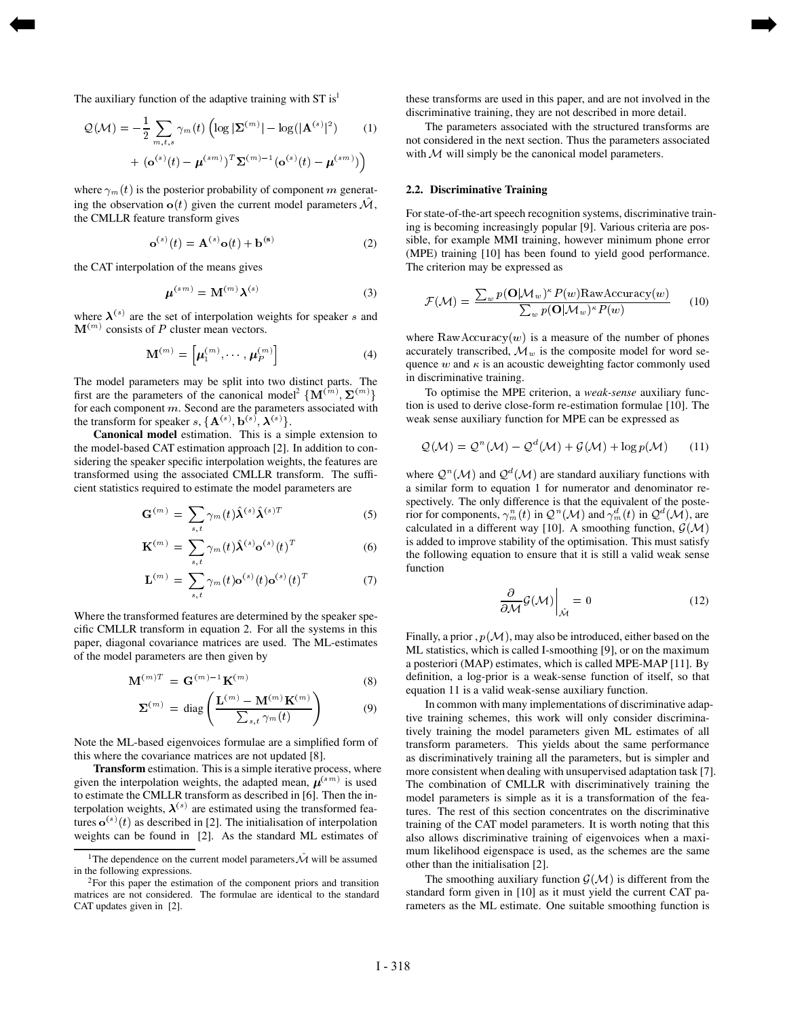The auxiliary function of the adaptive training with  $ST$  is<sup>1</sup>

$$
\mathcal{Q}(\mathcal{M}) = -\frac{1}{2} \sum_{m,t,s} \gamma_m(t) \left( \log |\mathbf{\Sigma}^{(m)}| - \log(|\mathbf{A}^{(s)}|^2) \right)
$$
  
+ 
$$
(\mathbf{o}^{(s)}(t) - \boldsymbol{\mu}^{(sm)})^T \mathbf{\Sigma}^{(m)-1} (\mathbf{o}^{(s)}(t) - \boldsymbol{\mu}^{(sm)}) \right)
$$
 (1)

where  $\gamma_m(t)$  is the posterior probability of component m generat- 2. ing the observation  $o(t)$  given the current model parameters  $M$ , the CMLLR feature transform gives

$$
\mathbf{o}^{(s)}(t) = \mathbf{A}^{(s)} \mathbf{o}(t) + \mathbf{b}^{(s)}
$$
 (2)

the CAT interpolation of the means gives

<span id="page-1-0"></span>[➡](#page-0-0)

$$
\boldsymbol{\mu}^{(sm)} = \mathbf{M}^{(m)} \boldsymbol{\lambda}^{(s)} \tag{3}
$$

where  $\lambda^{(s)}$  are the set of interpolation weights for speaker s and  $M^{(m)}$  consists of P cluster mean vectors.

$$
\mathbf{M}^{(m)} = \left[ \boldsymbol{\mu}_1^{(m)}, \cdots, \boldsymbol{\mu}_P^{(m)} \right] \tag{4}
$$

The model parameters may be split into two distinct parts. The first are the parameters of the canonical model<sup>2</sup>  $\{ {\bf M}^{(m)}, {\bf \Sigma}^{(m)} \}$ for each component  $m$ . Second are the parameters associated with the transform for speaker s,  ${A^{(s)}, b^{(s)}, \lambda^{(s)}}$ .

**Canonical model** estimation. This is a simple extension to the model-based CAT estimation approach [2]. In addition to considering the speaker specific interpolation weights, the features are transformed using the associated CMLLR transform. The sufficient statistics required to estimate the model parameters are

$$
\mathbf{G}^{(m)} = \sum_{s,t} \gamma_m(t) \hat{\mathbf{\lambda}}^{(s)} \hat{\mathbf{\lambda}}^{(s)T}
$$
 (5)

$$
\mathbf{K}^{(m)} = \sum_{s,t} \gamma_m(t) \hat{\boldsymbol{\lambda}}^{(s)} \mathbf{o}^{(s)}(t)^T
$$
 (6)

$$
\mathbf{L}^{(m)} = \sum_{s,t} \gamma_m(t) \mathbf{o}^{(s)}(t) \mathbf{o}^{(s)}(t)^T
$$
 (7)

Where the transformed features are determined by the speaker specific CMLLR transform in equation 2. For all the systems in this paper, diagonal covariance matrices are used. The ML-estimates of the model parameters are then given by

$$
\mathbf{M}^{(m)T} = \mathbf{G}^{(m)-1}\mathbf{K}^{(m)} \tag{8}
$$

$$
\Sigma^{(m)} = \text{diag}\left(\frac{\mathbf{L}^{(m)} - \mathbf{M}^{(m)}\mathbf{K}^{(m)}}{\sum_{s,t} \gamma_m(t)}\right) \tag{9}
$$

Note the ML-based eigenvoices formulae are a simplified form of this where the covariance matrices are not updated [8].

**Transform** estimation. This is a simple iterative process, where given the interpolation weights, the adapted mean,  $\mu^{(sm)}$  is used to estimate the CMLLR transform as described in [6]. Then the interpolation weights,  $\lambda^{(s)}$  are estimated using the transformed features  $o^{(s)}(t)$  as described in [2]. The initialisation of interpolation weights can be found in [2]. As the standard ML estimates of

these transforms are used in this paper, and are not involved in the discriminative training, they are not described in more detail.

with  $M$  will simply be the canonical model parameters. The parameters associated with the structured transforms are not considered in the next section. Thus the parameters associated

## **2.2. Discriminative Training**

[➡](#page-2-0)

For state-of-the-art speech recognition systems, discriminative training is becoming increasingly popular [9]. Various criteria are possible, for example MMI training, however minimum phone error (MPE) training [10] has been found to yield good performance. The criterion may be expressed as

$$
\mathcal{F}(\mathcal{M}) = \frac{\sum_{w} p(\mathbf{O}|\mathcal{M}_{w})^{\kappa} P(w) \text{RawAccuracy}(w)}{\sum_{w} p(\mathbf{O}|\mathcal{M}_{w})^{\kappa} P(w)} \qquad (10)
$$

where  $\text{RawAccuracy}(w)$  is a measure of the number of phones accurately transcribed,  $\mathcal{M}_w$  is the composite model for word sequence  $w$  and  $\kappa$  is an acoustic deweighting factor commonly used in discriminative training.

To optimise the MPE criterion, a *weak-sense* auxiliary function is used to derive close-form re-estimation formulae [10]. The weak sense auxiliary function for MPE can be expressed as

$$
\mathcal{Q}(\mathcal{M}) = \mathcal{Q}^n(\mathcal{M}) - \mathcal{Q}^d(\mathcal{M}) + \mathcal{G}(\mathcal{M}) + \log p(\mathcal{M}) \qquad (11)
$$

where  $Q^{n}(\mathcal{M})$  and  $Q^{d}(\mathcal{M})$  are standard auxiliary functions with a similar form to equation 1 for numerator and denominator respectively. The only difference is that the equivalent of the posterior for components,  $\gamma_m^n(t)$  in  $\mathcal{Q}^n(\mathcal{M})$  and  $\gamma_m^d(t)$  in  $\mathcal{Q}^d(\mathcal{M})$ , are calculated in a different way [10]. A smoothing function,  $G(\mathcal{M})$ is added to improve stability of the optimisation. This must satisfy the following equation to ensure that it is still a valid weak sense function

$$
\left. \frac{\partial}{\partial \mathcal{M}} \mathcal{G}(\mathcal{M}) \right|_{\hat{\mathcal{M}}} = 0 \tag{12}
$$

Finally, a prior,  $p(M)$ , may also be introduced, either based on the ML statistics, which is called I-smoothing [9], or on the maximum a posteriori (MAP) estimates, which is called MPE-MAP [11]. By definition, a log-prior is a weak-sense function of itself, so that equation 11 is a valid weak-sense auxiliary function.

In common with many implementations of discriminative adaptive training schemes, this work will only consider discriminatively training the model parameters given ML estimates of all transform parameters. This yields about the same performance as discriminatively training all the parameters, but is simpler and more consistent when dealing with unsupervised adaptation task [7]. The combination of CMLLR with discriminatively training the model parameters is simple as it is a transformation of the features. The rest of this section concentrates on the discriminative training of the CAT model parameters. It is worth noting that this also allows discriminative training of eigenvoices when a maximum likelihood eigenspace is used, as the schemes are the same other than the initialisation [2].

The smoothing auxiliary function  $\mathcal{G}(\mathcal{M})$  is different from the standard form given in [10] as it must yield the current CAT parameters as the ML estimate. One suitable smoothing function is

<sup>&</sup>lt;sup>1</sup>The dependence on the current model parameters  $\hat{\mathcal{M}}$  will be assumed in the following expressions.

 $2$ For this paper the estimation of the component priors and transition matrices are not considered. The formulae are identical to the standard CAT updates given in [2].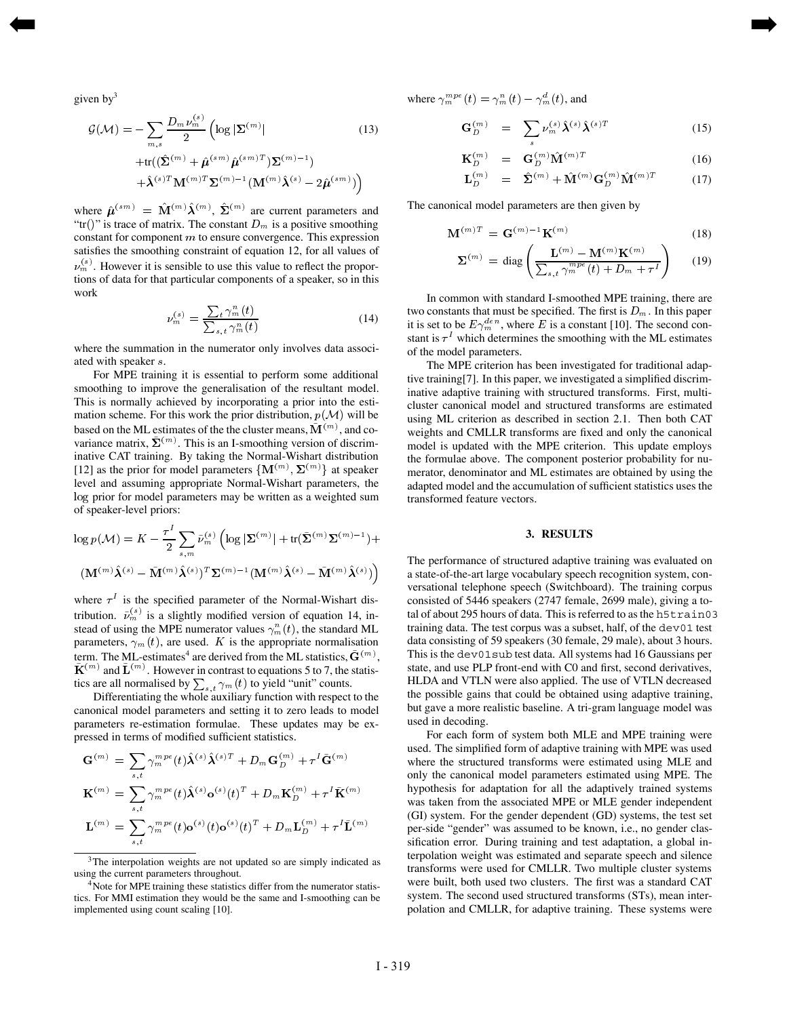given by $3$ 

<span id="page-2-0"></span>[➡](#page-1-0)

$$
\mathcal{G}(\mathcal{M}) = -\sum_{m,s} \frac{D_m \nu_m^{(s)}}{2} \left( \log |\Sigma^{(m)}| \right)
$$
\n
$$
+ \text{tr}((\hat{\Sigma}^{(m)} + \hat{\mu}^{(sm)} \hat{\mu}^{(sm)T}) \Sigma^{(m)-1})
$$
\n
$$
+ \hat{\lambda}^{(s)T} \mathbf{M}^{(m)T} \Sigma^{(m)-1} (\mathbf{M}^{(m)} \hat{\lambda}^{(s)} - 2 \hat{\mu}^{(sm)}) \right)
$$
\n(13)

where  $\hat{\boldsymbol{\mu}}^{(sm)} = \mathbf{M}^{(m)} \boldsymbol{\lambda}^{(m)}$ ,  $\boldsymbol{\Sigma}^{(m)}$  are current parameters and "tr()" is trace of matrix. The constant  $D_m$  is a positive smoothing constant for component  $m$  to ensure convergence. This expression satisfies the smoothing constraint of equation 12, for all values of  $\nu_m^{(s)}$ . However it is sensible to use this value to reflect the proportions of data for that particular components of a speaker, so in this work

$$
\nu_m^{(s)} = \frac{\sum_t \gamma_m^n(t)}{\sum_{s,t} \gamma_m^n(t)}\tag{14}
$$

where the summation in the numerator only involves data associated with speaker s.

For MPE training it is essential to perform some additional smoothing to improve the generalisation of the resultant model. This is normally achieved by incorporating a prior into the estimation scheme. For this work the prior distribution,  $p(\mathcal{M})$  will be based on the ML estimates of the the cluster means,  $\mathbf{M}^{(m)}$ , and covariance matrix,  $\Sigma^{(m)}$ . This is an I-smoothing version of discriminative CAT training. By taking the Normal-Wishart distribution [12] as the prior for model parameters  $\{M^{(m)}, \Sigma^{(m)}\}$  at speaker level and assuming appropriate Normal-Wishart parameters, the log prior for model parameters may be written as a weighted sum of speaker-level priors:

$$
\log p(\mathcal{M}) = K - \frac{\tau^1}{2} \sum_{s,m} \tilde{\nu}_m^{(s)} \left( \log |\mathbf{\Sigma}^{(m)}| + \text{tr}(\tilde{\mathbf{\Sigma}}^{(m)} \mathbf{\Sigma}^{(m)} ) + \right.
$$
  

$$
(\mathbf{M}^{(m)} \hat{\boldsymbol{\lambda}}^{(s)} - \tilde{\mathbf{M}}^{(m)} \hat{\boldsymbol{\lambda}}^{(s)})^T \mathbf{\Sigma}^{(m)-1} (\mathbf{M}^{(m)} \hat{\boldsymbol{\lambda}}^{(s)} - \tilde{\mathbf{M}}^{(m)} \hat{\boldsymbol{\lambda}}^{(s)}) \right)
$$
The perfo

where  $\tau^I$  is the specified parameter of the Normal-Wishart distribution.  $\tilde{\nu}_m^{(s)}$  is a slightly modified version of equation 14, instead of using the MPE numerator values  $\gamma_m^n(t)$ , the standard ML parameters,  $\gamma_m(t)$ , are used. K is the appropriate normalisation term. The ML-estimates<sup>4</sup> are derived from the ML statistics,  $\tilde{G}^{(m)}$ ,  ${\bf K}^{(m)}$  and  ${\bf L}^{(m)}$ . However in contrast to equations 5 to 7, the statistics are all normalised by  $\sum_{s,t} \gamma_m(t)$  to yield "unit" counts.

Differentiating the whole auxiliary function with respect to the canonical model parameters and setting it to zero leads to model parameters re-estimation formulae. These updates may be expressed in terms of modified sufficient statistics.

$$
\mathbf{G}^{(m)} = \sum_{s,t} \gamma_m^{mpe}(t) \hat{\mathbf{\lambda}}^{(s)} \hat{\mathbf{\lambda}}^{(s)T} + D_m \mathbf{G}_D^{(m)} + \tau^I \tilde{\mathbf{G}}^{(m)}
$$

$$
\mathbf{K}^{(m)} = \sum_{s,t} \gamma_m^{mpe}(t) \hat{\mathbf{\lambda}}^{(s)} \mathbf{o}^{(s)}(t)^T + D_m \mathbf{K}_D^{(m)} + \tau^I \tilde{\mathbf{K}}^{(m)}
$$

$$
\mathbf{L}^{(m)} = \sum_{s,t} \gamma_m^{mpe}(t) \mathbf{o}^{(s)}(t) \mathbf{o}^{(s)}(t)^T + D_m \mathbf{L}_D^{(m)} + \tau^I \tilde{\mathbf{L}}^{(m)}
$$

where  $\gamma_m^{mpe}(t) = \gamma_m^n(t) - \gamma_m^d(t)$ , and

[➡](#page-3-0)

$$
\mathbf{G}_{D}^{(m)} = \sum_{s} \nu_{m}^{(s)} \hat{\boldsymbol{\lambda}}^{(s)} \hat{\boldsymbol{\lambda}}^{(s)T}
$$
 (15)

$$
\mathbf{K}_{D}^{(m)} = \mathbf{G}_{D}^{(m)} \hat{\mathbf{M}}^{(m)T}
$$
 (16)

$$
\mathbf{L}_{D}^{(m)} = \hat{\mathbf{\Sigma}}^{(m)} + \hat{\mathbf{M}}^{(m)} \mathbf{G}_{D}^{(m)} \hat{\mathbf{M}}^{(m)T} \quad (17)
$$

The canonical model parameters are then given by

$$
\mathbf{M}^{(m)T} = \mathbf{G}^{(m)}{}^{\mathbf{1}} \mathbf{K}^{(m)} \tag{18}
$$

$$
\mathbf{\Sigma}^{(m)} = \text{diag}\left(\frac{\mathbf{L}^{(m)} - \mathbf{M}^{(m)}\mathbf{K}^{(m)}}{\sum_{s,t} \gamma_m^{mpe}(t) + D_m + \tau^I}\right) \qquad (19)
$$

In common with standard I-smoothed MPE training, there are two constants that must be specified. The first is  $D_m$ . In this paper it is set to be  $E\gamma_m^{den}$ , where E is a constant [10]. The second constant is  $\tau^I$  which determines the smoothing with the ML estimates of the model parameters.

The MPE criterion has been investigated for traditional adaptive training[7]. In this paper, we investigated a simplified discriminative adaptive training with structured transforms. First, multicluster canonical model and structured transforms are estimated using ML criterion as described in section 2.1. Then both CAT weights and CMLLR transforms are fixed and only the canonical model is updated with the MPE criterion. This update employs the formulae above. The component posterior probability for numerator, denominator and ML estimates are obtained by using the adapted model and the accumulation of sufficient statistics uses the transformed feature vectors.

#### **3. RESULTS**

 The performance of structured adaptive training was evaluated on a state-of-the-art large vocabulary speech recognition system, conversational telephone speech (Switchboard). The training corpus consisted of 5446 speakers (2747 female, 2699 male), giving a total of about 295 hours of data. This is referred to as the h5train03 training data. The test corpus was a subset, half, of the dev01 test data consisting of 59 speakers (30 female, 29 male), about 3 hours. This is the dev01sub test data. All systems had 16 Gaussians per state, and use PLP front-end with C0 and first, second derivatives, HLDA and VTLN were also applied. The use of VTLN decreased the possible gains that could be obtained using adaptive training, but gave a more realistic baseline. A tri-gram language model was used in decoding.

For each form of system both MLE and MPE training were used. The simplified form of adaptive training with MPE was used where the structured transforms were estimated using MLE and only the canonical model parameters estimated using MPE. The hypothesis for adaptation for all the adaptively trained systems was taken from the associated MPE or MLE gender independent (GI) system. For the gender dependent (GD) systems, the test set per-side "gender" was assumed to be known, i.e., no gender classification error. During training and test adaptation, a global interpolation weight was estimated and separate speech and silence transforms were used for CMLLR. Two multiple cluster systems were built, both used two clusters. The first was a standard CAT system. The second used structured transforms (STs), mean interpolation and CMLLR, for adaptive training. These systems were

 $3$ The interpolation weights are not updated so are simply indicated as using the current parameters throughout.

<sup>&</sup>lt;sup>4</sup>Note for MPE training these statistics differ from the numerator statistics. For MMI estimation they would be the same and I-smoothing can be implemented using count scaling [10].